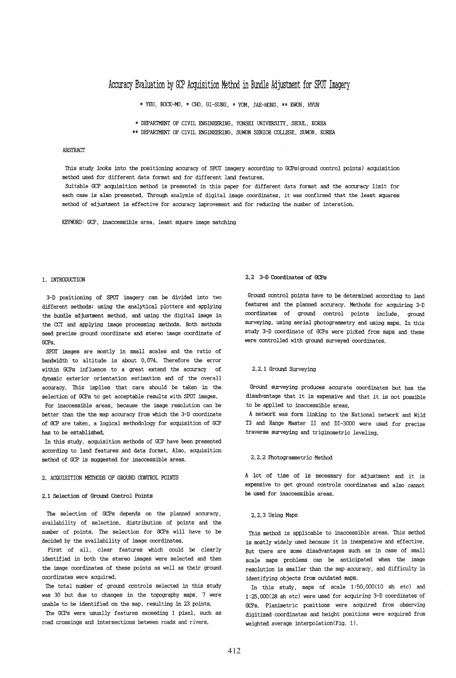# Accuracy *Evaluation* by GCP *Acquisition* Method *in* Bundle Adjustment for SPOT Imagery

\* YEU, BOCK-MO, \* CHO, GI-SUNG, \* YOM, JAE-HONG, \*\* KWON, HYUN

:0: DEPARTMENT OF CIVIL ENGINEERING, YONSEI UNIVERSITY, SEOUL, KOREA

\*\* DEPARTMENT OF CIVIL ENGINEERING, SUWON SENIOR COLLEGE, SUWON, KOREA

### **ARSTRACT**

This study looks into the positioning accuracy of SPOT imagery according to GCPs(ground control points) acquisition method used for different data format and for different land features.

Suitable GCP acquisition method is presented in this paper for different data format and the accuracy limit for each case is also presented. Through analysis of digital image coordinates, it was confirmed that the least squares method of adjustment is effective for accuracy improvement and for reducing the number of interation.

KEYWORD: GCP, inaccessible area, least square image matching

#### 1. INTRODUCTION

3-D positioning of SPOT imagery can be divided into two different methods; using the analytical plotters and applying the bundle adjustment method, and using the digital image in the ccr and applying image processing methods. Both methods need precise ground coordinate and stereo image coordinate of GCPs.

SPOT images are mostly in small scales and the ratio of bandwidth to altitude is about 0.074. Therefore the error within GCPs influence to a great extend the accuracy of dynamic exterior orientation estimation and of the overall accuracy. This implies that care should be taken in the selection of GCPs to get acceptable results with SPOT images.

For inaccessible areas, because the image resolution can be better than the the map accuracy from which the 3-D coordinate of GCP are taken, a logical methodology for acquisition of GCP has to be established.

In this study, acquisition methods of GCP have been presented according to land features and data format. Also, acquisition method of GCP is suggested for inaccessible areas.

#### 2. ACQUISITION METHODS OF GROUND CONTROL POINTS

### 2.1 Selection of Ground Control Points

The selection of GCPs depends on the planned accuracy, availability of selection, distribution of points and the number of points. The selection for GCPs will have to be decided by the availability of image coordinates.

First of all, clear features which could be clearly identified in both the stereo images were selected and then the image coordinates of these points as well as their ground coordinates were acquired.

The total number of ground controls selected in this study was 30 but due to changes in the topography maps, 7 were unable to be identified on the map, resulting in 23 points.

The GCPs were usually features exceeding 1 pixel, such as road crossings and intersections between roads and rivers.

### 2.2 3-D Coordinates of GCPs

Ground control points have to be determined according to land features and the planned accuracy. Methods for acquiring 3-D coordinates of ground control points include, ground surveying, using aerial photogrammetry and using maps. In this study 3-D coordinate of GCPs were picked from maps and these were controlled with ground surveyed coordinates.

# 2.2.1 Ground Surveying

Ground surveying produces accurate coordinates but has the disadvantage that it is expensive and that it is not possible to be applied to inaccessible areas.

A network was form linking to the National network and Wild T3 and Range Master II and DI-3000 were used for precise traverse surveying and triginometric leveling.

#### 2.2.2 Photogrammetric Method

A lot of time of is necessary for adjustment and it is expensive to get ground controls coordinates and also cannot be used for inaccessible areas.

#### 2.2.3 Using Maps

This method is applicable to inaccessible areas. This method is mostly widely used because it is inexpensive and effective. But there are some disadvantages such as in case of small scale maps problems can be anticipated when the image resolution is smaller than the map accuracy, and difficulty in identifying objects from outdated maps.

In this study, maps of scale 1:50,000(10 sh etc) and 1:25,000(28 sh etc) were used for acquiring 3-D coordinates of GCPs. Planimetric positions were acquired from observing digitized coordinates and height positions were acquired from weighted average interpolation (Fig. 1).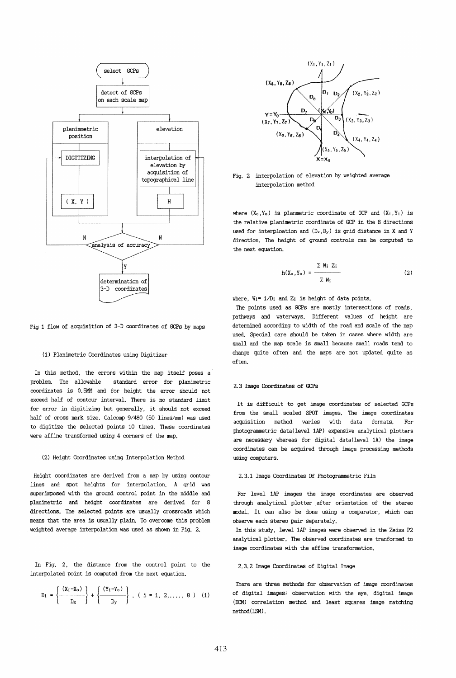

# Fig 1 flow of acquisition of 3-D coordinates of GCPs by maps

### (1) Planimetric Coordinates using Digitizer

In this method, the errors wi thin the map itself poses a problem. The allowable standard error for planimetric coordinates is 0.5MM and for height the error should not exceed half of contour interval. There is no standard limit for error in digitizing but generally, it should not exceed half of cross mark size. Calcomp 9/480 (50 lines/mm) was used to digitize the selected points 10 times. These coordinates were affine transformed using 4 corners of the map.

### (2) Height Coordinates using Interpolation Method

Height coordinates are derived from a map by using contour lines and spot heights for interpolation. A grid was superimposed with the ground control point in the middle and planimetric and height coordinates are derived for 8 directions. The selected points are usually crossroads which means that the area is usually plain. To overcome this problem weighted average interpolation was used as shown in Fig. 2.

In Fig. 2, the distance from the control point to the interpolated point is computed from the next equation.

$$
D_i = \left\{ \frac{(X_i - X_o)}{D_X} \right\} + \left\{ \frac{(Y_i - Y_o)}{D_Y} \right\}, (i = 1, 2, ..., 8) (1)
$$



Fig. 2 interpolation of elevation by weighted average interpolation method

where  $(X_0, Y_0)$  is planmetric coordinate of GCP and  $(X_i, Y_i)$  is the relative planimetric coordinate of GCP in the 8 directions used for interploation and  $(D_x, D_y)$  is grid distance in X and Y direction. The height of ground controls can be computed to the next equation.

$$
h(X_0, Y_0) = \frac{\sum W_i Z_i}{\sum W_i}
$$
 (2)

where,  $W_i = 1/D_i$  and  $Z_i$  is height of data points.

The points used as GCPs are mostly intersections of roads, pathways and waterways. Different values of height are determined according to width of the road and scale of the map used. Special care should be taken in cases where width are small and the map scale is small because small roads tend to change quite often and the maps are not updated quite as often.

#### 2.3 Image Coontinates of GCPs

It is difficult to get image coordinates of selected GCPs from the small scaled SPOT images. The image coordinates acquisition method varies with data formats. For photogrammetric data (level lAP) expensive analytical plotters are necessary whereas for digital data (level 1A) the image coordinates can be acquired through image processing methods using computers.

# 2.3.1 Image Coordinates Of Photogrammetric Film

For level lAP images the image coordinates are observed through analytical plotter after orientation of the stereo model. It can also be done using a comparator, which can observe each stereo pair separately.

In this study, level lAP images were observed in the Zeiss P2 analytical plotter. The observed coordinates are tranformed to image coordinates with the affine transformation.

#### 2.3.2 Image Coordinates of Digital Image

There are three methods for observation of image coordinates of digital images; observation with the eye, digital image (DCM) correlation method and least squares image matching method (LSM) .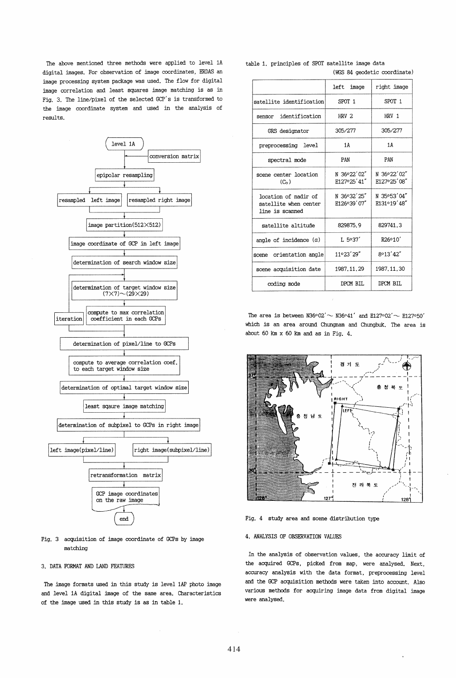The above mentioned three methods were applied to level lA digital images. For observation of image coordinates, ERDAS an image processing system package was used. The flow for digital image correlation and least squares image matching is as in Fig. 3. The line/pixel of the selected GCP's is transformed to the image coordinate system and used in the analysis of results.



Fig. 3 acquisition of image coordinate of GCPs by image matching

### 3. DATA FORMAT AND LAND FEATURES

The image formats used in this study is level lAP photo image and level lA digital image of the same area. Characteristics of the image used in this study is as in table 1.

|                                                                  | left image                  | right image                |
|------------------------------------------------------------------|-----------------------------|----------------------------|
| satellite identification                                         | SPOT 1                      | SPOT 1                     |
| identification<br>sensor                                         | HRV <sub>2</sub>            | HRV 1                      |
| GRS designator                                                   | 305/277                     | 305/277                    |
| preprocessing level                                              | 1A                          | 1 A                        |
| spectral mode                                                    | PAN                         | PAN                        |
| scene center location<br>(C <sub>o</sub> )                       | N 36°22'02"<br>E127°25' 41" | N 36°22'02"<br>E127°25'08" |
| location of nadir of<br>satellite when center<br>line is scanned | N 36032'25"<br>E126°39'07"  | N 35°53'04"<br>E131°19'48" |
| satellite altitude                                               | 829875.9                    | 829741.3                   |
| angle of incidence $(a)$                                         | L.5°37'                     | R <sub>26</sub> °10'       |
| orientation angle<br>scene                                       | 11°23'29"                   | 8°13'42"                   |
| scene acquisition date                                           | 1987.11.29                  | 1987.11.30                 |
| coding mode                                                      | DPCM BIL                    | DPCM BIL                   |

table 1. principles of SPOT satellite image data (WGS 84 geodetic coordinate)

The area is between N36°02' $\sim$  N36°41' and E127°02' $\sim$  E127°50' which is an area around Chungnam and Chungbuk. The area is about 60 km x 60 km and as in Fig. 4.



Fig. 4 study area and scene distribution type

# 4. ANALYSIS OF OBSERVATION VALUES

In the analysis of observation values, the accuracy limit of the acquired GCPs, picked from map, were analysed. Next, accuracy analysis with the data format, preprocessing level and the GCP acquisition methods were taken into account. Also various methods for acquiring image data from digital image were analysed.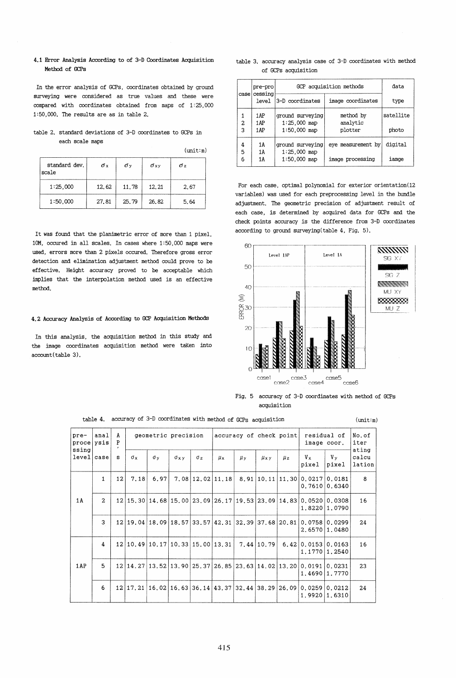## 4.1 Error *Analysis* According to of 3-D Coordinates *Acquisition*  Method of GCPs

In the error *analysis* of GCPs, coordinates obtained by ground surveying were considered as true values and these were compared with coordinates obtained from maps of 1:25,000 1 : 50,000. The results are as in table 2.

## table 2. standard deviations of 3-D coordinates to GCPs in each scale maps

| standard dev.<br>scale | σx    | σv    | $\sigma$ xy | σz   |
|------------------------|-------|-------|-------------|------|
| 1:25,000               | 12.62 | 11.78 | 12.21       | 2.67 |
| 1:50,000               | 27.81 | 25.79 | 26.82       | 5.64 |

It was found that the planimetric error of more than 1 pixel, 10M, occured in all scales. In cases where 1:50,000 maps were used, errors more than 2 pixels occured. Therefore gross error detection and *elimination* adjustment method could prove to be effective. Height accuracy proved to be acceptable which implies that the interpolation method used is an effective method.

### **4.2** Accuracy *AnalysiS* of According to GCP *Acquisition* Methods

In this analysis, the acquisition method in this study and the image coordinates acquisition method were taken into account(table 3).

|                     |  |  | table 3. accuracy analysis case of 3-D coordinates with method |  |
|---------------------|--|--|----------------------------------------------------------------|--|
| of GCPs acquisition |  |  |                                                                |  |

|                     | pre-pro          | GCP acquisition methods            | data                  |           |
|---------------------|------------------|------------------------------------|-----------------------|-----------|
| case                | cessing<br>level | 3-D coordinates                    | image coordinates     | type      |
| 1<br>$\overline{a}$ | 1AP<br>1AP       | ground surveying<br>$1:25,000$ map | method by<br>analytic | satellite |
| 3                   | 1AP              | $1:50,000$ map                     | plotter               | photo     |
| 4<br>5              | 1A<br>1A         | ground surveying<br>$1:25.000$ map | eye measurement by    | digital   |
| 6                   | 1A               | $1:50,000$ map                     | image processing      | iamge     |

For each case, optimal polynomial for exterior orientation(12 *variables)* was used for each preprocessing level in the bundle adjustment. The geometric precision of adjustment result of each case, *is* determined by acquired data for GCPs and the check points accuracy is the difference from 3-D coordinates according to ground surveying(table 4, *Fig. 5).* 



*Fig.* 5 accuracy of 3-D coordinates with method of GCPs acquisition

| anal<br>pre-<br>$\texttt{proc}$ $\texttt{ysis}$ |              | A<br>P | geometric precision |                                                            |                         | accuracy of check point |               |               | residual of<br>image coor. |                    | No.of<br>iter                                                                                    |                                                                              |                          |
|-------------------------------------------------|--------------|--------|---------------------|------------------------------------------------------------|-------------------------|-------------------------|---------------|---------------|----------------------------|--------------------|--------------------------------------------------------------------------------------------------|------------------------------------------------------------------------------|--------------------------|
| ssing<br>level case                             |              | s      | $\sigma_x$          | $\sigma$ v                                                 | $\sigma$ <sub>x y</sub> | $\sigma$ <sub>z</sub>   | $\mu_{\rm x}$ | $\mu_{\rm y}$ | $\mu$ xy                   | $\mu$ <sub>z</sub> | $V_{X}$<br>pixel                                                                                 | $V_{\rm y}$<br>pixel                                                         | ating<br>calcu<br>lation |
|                                                 | 1            | 12     | 7.18                | 6.97                                                       |                         |                         |               |               |                            |                    | $7.08 12.02 11.18 8.91 10.11 11.30 0.0217 0.0181$<br>0.7610                                      | 0.6340                                                                       | 8                        |
| 1A                                              | $\mathbf{z}$ |        |                     |                                                            |                         |                         |               |               |                            |                    | 1,8220                                                                                           | $12 15,30 14,68 15,00 23,09 26,17 19,53 23,09 14,83 0,0520 0,0308$<br>1,0790 | 16                       |
|                                                 | 3            |        |                     | $12 19,04 18,09 18,57 33,57 42,31 32,39 37,68 20,81$       |                         |                         |               |               |                            |                    | 0.0758 0.0299<br>2.6570                                                                          | 1.0480                                                                       | 24                       |
|                                                 | 4            |        |                     | 12 10,49 10,17 10,33 15,00 13,31                           |                         |                         |               |               | 7.44 10.79                 |                    | 6.42 0.0153 0.0163                                                                               | 1.1770 1.2540                                                                | 16                       |
| 1AP                                             | 5            |        |                     |                                                            |                         |                         |               |               |                            |                    | 12   14, 27   13, 52   13, 90   25, 37   26, 85   23, 63   14, 02   13, 20   0, 0191  <br>1,4690 | 0.0231<br>1,7770                                                             | 23                       |
|                                                 | 6            |        |                     | 12 17. 21 16. 02 16. 63 36. 14 43. 37 32. 44 38. 29 26. 09 |                         |                         |               |               |                            |                    | 0.0259<br>1,9920                                                                                 | 0.0212<br>1.6310                                                             | 24                       |

table 4. accuracy of 3-D coordinates with method of GCPs acquisition (unit:m)

 $(mit:m)$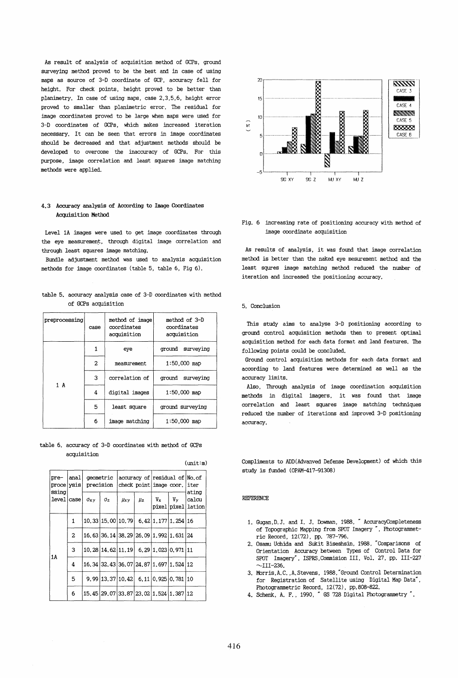As result of analysis of acquisition method of GCPs, ground surveying method proved to be the best and in case of using maps as source of 3-D coordinate of GCP, accuracy fell for height. For check points, height proved to be better than planimetry. In case of using maps, case 2,3,5,6, height error proved to smaller than planimetric error. The residual for image coordinates proved to be large when maps were used for 3-D coordinates of GCPs, which makes increased iteration necessary. It can be seen that errors in image coordinates should be decreased and that adjustment methods should be developed to overcome the inaccuracy of GCPs. For this purpose, image correlation and least squares image matching methods were applied.

# 4.3 Accuracy analysis of According to Image Coordinates Acquisition Method

Level lA images were used to get image coordinates through the eye measurement, through digital image correlation and through least squares image matching.

Bundle adjustment method was used to analysis acquisition methods for image coordinates (table 5, table 6, Fig 6).

table 5. accuracy analysis case of 3-D coordinates with method of GCPs acquisition

| preprocessing | case |                | method of 3-D<br>coordinates<br>acquisition |  |  |
|---------------|------|----------------|---------------------------------------------|--|--|
|               | 1    |                | ground surveying                            |  |  |
|               | 2    | measurement    | $1:50,000$ map                              |  |  |
| 1 A           | 3    | correlation of | ground surveying                            |  |  |
|               | 4    | digital images | $1:50.000$ map                              |  |  |
|               | 5    | least square   | ground surveying                            |  |  |
|               | 6    | image matching | $1:50,000$ map                              |  |  |

table 6. accuracy of 3-D coordinates with method of GCPs acquisition

| (unit:m)                    |      |                    |                                              |            |                    |         |                                                               |                                       |  |
|-----------------------------|------|--------------------|----------------------------------------------|------------|--------------------|---------|---------------------------------------------------------------|---------------------------------------|--|
| pre-<br>proce ysis<br>ssina | anal |                    | qeometric<br>precision                       |            |                    |         | accuracy of residual of No.of<br>check point image coor, iter |                                       |  |
| level case                  |      | $\sigma_{\rm X}$ y | $\sigma_z$                                   | $\mu_{xy}$ | $\mu$ <sub>z</sub> | $V_{X}$ | $V_{\rm y}$                                                   | ating<br> calcu<br>pixel pixel lation |  |
|                             | 1    |                    | 10.33 15.00 10.79                            |            |                    |         | 6.42 1.177 1.254 16                                           |                                       |  |
|                             | 2    |                    | 16.63 36.14 38.29 26.09 1.992 1.631 24       |            |                    |         |                                                               |                                       |  |
| 1 A                         | 3    |                    | 10.28 14.62 11.19 6.29 1.023 0.971 11        |            |                    |         |                                                               |                                       |  |
|                             | 4    |                    | 16.34 32.43 36.07 24.87 1.697 1.524 12       |            |                    |         |                                                               |                                       |  |
|                             | 5    |                    | 9.99 13.37 10.42                             |            |                    |         | 6.11 0.925 0.781 10                                           |                                       |  |
|                             | 6    |                    | 15, 45 29, 07 33, 87 23, 02 1, 524 1, 387 12 |            |                    |         |                                                               |                                       |  |



## Fig. 6 increasing rate of positioning accuracy with method of image coordinate acquisition

As results of analysis, it was found that image correlation method is better than the naked eye mesurement method and the least squres image matching method reduced the number of iteration and increased the positioning accuracy.

### 5. Conclusion

This study aims to analyse 3-D positioning according to ground control acquisition methods then to present optimal acquisition method for each data format and land features. The following points could be concluded.

Ground control acquisition methods for each data format and according to land features were determined as well as the accuracy limits.

Also, Through analysis of image coordination acquisition methods in digital imagers, it was found that image correlation and least squares image matching techniques reduced the number of iterations and improved 3-D positioning accuracy.

Compliments to ADD(Advanved Defense Development) of which this study is funded (OPAM-417-91308)

### REFERENCE

- 1. Gugan,D. J. and 1. J. Dowman, 1988, " AccuracyCompleteness of Topographic Mapping from SPOT Imagery", Photogrammetric Record, 12(72), pp. 787-796.
- 2. Osamu Uchida and Sukit Biseshsin, 1988, "Comparisons of Orientation Accuracy between Types of Control Data for SPOT Imagery", ISPRS, Commision III, Vol. 27, pp. III-227  $\sim$ III-236.
- 3. Morris,A.C. ,A. Stevens, 1988,"Ground Control Determination for Registration of Satellite using Digital Map Data", Photogrammetric Record, 12(72), pp.808-822.
- 4. Schenk, A. F., 1990, " GS 728 Digital Photograrnrnetry ".